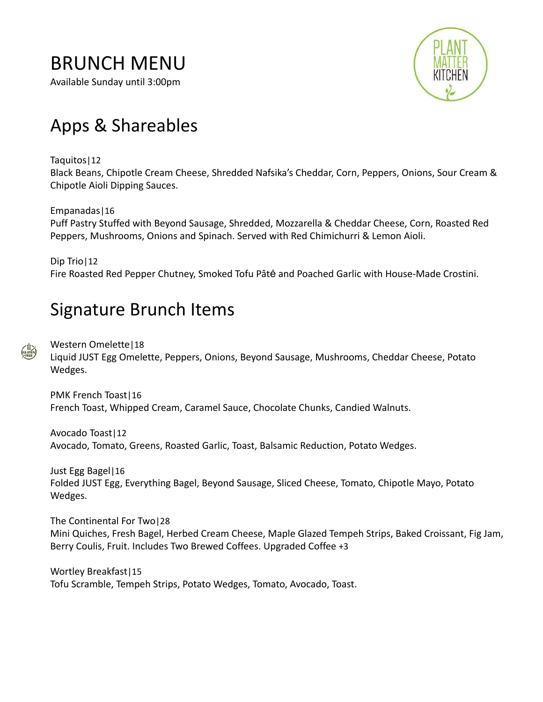## BRUNCH MENU

Available Sunday until 3:00pm



# Apps & Shareables

Taquitos|12

Black Beans, Chipotle Cream Cheese, Shredded Nafsika's Cheddar, Corn, Peppers, Onions, Sour Cream & Chipotle Aioli Dipping Sauces.

#### Empanadas|16

Puff Pastry Stuffed with Beyond Sausage, Shredded, Mozzarella & Cheddar Cheese, Corn, Roasted Red Peppers, Mushrooms, Onions and Spinach. Served with Red Chimichurri & Lemon Aioli.

Dip Trio|12 Fire Roasted Red Pepper Chutney, Smoked Tofu Pâtė and Poached Garlic with House-Made Crostini.

## Signature Brunch Items

Western Omelette|18 Liquid JUST Egg Omelette, Peppers, Onions, Beyond Sausage, Mushrooms, Cheddar Cheese, Potato Wedges.

PMK French Toast|16 French Toast, Whipped Cream, Caramel Sauce, Chocolate Chunks, Candied Walnuts.

Avocado Toast|12 Avocado, Tomato, Greens, Roasted Garlic, Toast, Balsamic Reduction, Potato Wedges.

Just Egg Bagel|16 Folded JUST Egg, Everything Bagel, Beyond Sausage, Sliced Cheese, Tomato, Chipotle Mayo, Potato Wedges.

The Continental For Two|28 Mini Quiches, Fresh Bagel, Herbed Cream Cheese, Maple Glazed Tempeh Strips, Baked Croissant, Fig Jam, Berry Coulis, Fruit. Includes Two Brewed Coffees. Upgraded Coffee +3

Wortley Breakfast|15 Tofu Scramble, Tempeh Strips, Potato Wedges, Tomato, Avocado, Toast.